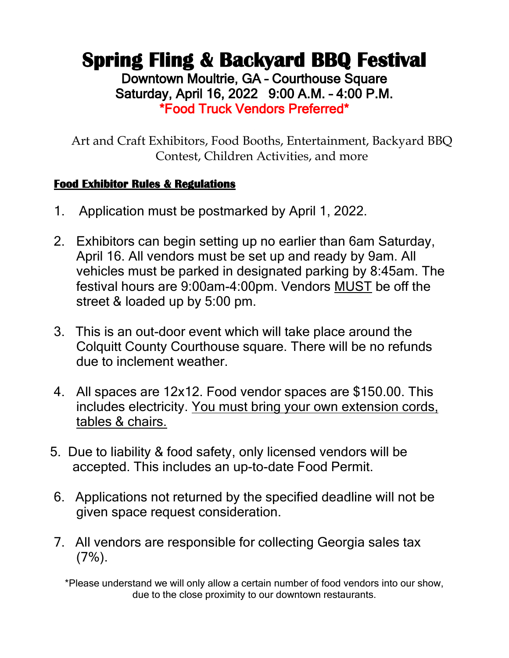## **Spring Fling & Backyard BBQ Festival** Downtown Moultrie, GA – Courthouse Square Saturday, April 16, 2022 9:00 A.M. – 4:00 P.M. \*Food Truck Vendors Preferred\*

Art and Craft Exhibitors, Food Booths, Entertainment, Backyard BBQ Contest, Children Activities, and more

### **Food Exhibitor Rules & Regulations**

- 1. Application must be postmarked by April 1, 2022.
- 2. Exhibitors can begin setting up no earlier than 6am Saturday, April 16. All vendors must be set up and ready by 9am. All vehicles must be parked in designated parking by 8:45am. The festival hours are 9:00am-4:00pm. Vendors MUST be off the street & loaded up by 5:00 pm.
- 3. This is an out-door event which will take place around the Colquitt County Courthouse square. There will be no refunds due to inclement weather.
- 4. All spaces are 12x12. Food vendor spaces are \$150.00. This includes electricity. You must bring your own extension cords, tables & chairs.
- 5. Due to liability & food safety, only licensed vendors will be accepted. This includes an up-to-date Food Permit.
- 6. Applications not returned by the specified deadline will not be given space request consideration.
- 7. All vendors are responsible for collecting Georgia sales tax  $(7%)$ .

\*Please understand we will only allow a certain number of food vendors into our show, due to the close proximity to our downtown restaurants.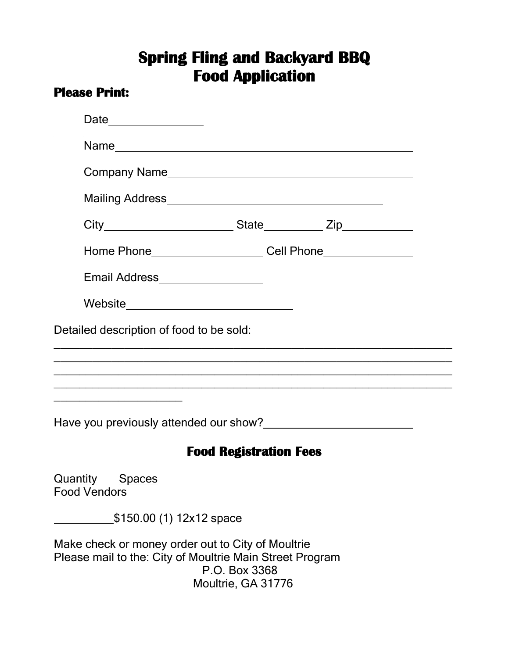# **Spring Fling and Backyard BBQ Food Application**

### **Please Print:**

| Date _______________                                                                                          |                                          |                                                                                  |
|---------------------------------------------------------------------------------------------------------------|------------------------------------------|----------------------------------------------------------------------------------|
|                                                                                                               |                                          |                                                                                  |
|                                                                                                               |                                          |                                                                                  |
|                                                                                                               |                                          |                                                                                  |
|                                                                                                               |                                          |                                                                                  |
|                                                                                                               |                                          | Home Phone ________________________Cell Phone __________________________________ |
| Email Address__________________                                                                               |                                          |                                                                                  |
|                                                                                                               | Website_________________________________ |                                                                                  |
| Have you previously attended our show?<br><u>Latena manuscress</u>                                            |                                          |                                                                                  |
|                                                                                                               | <b>Food Registration Fees</b>            |                                                                                  |
| <b>Spaces</b><br>Quantity<br><b>Food Vendors</b>                                                              |                                          |                                                                                  |
| \$150.00 (1) 12x12 space                                                                                      |                                          |                                                                                  |
| Make check or money order out to City of Moultrie<br>Please mail to the: City of Moultrie Main Street Program | P.O. Box 3368<br>Moultrie, GA 31776      |                                                                                  |